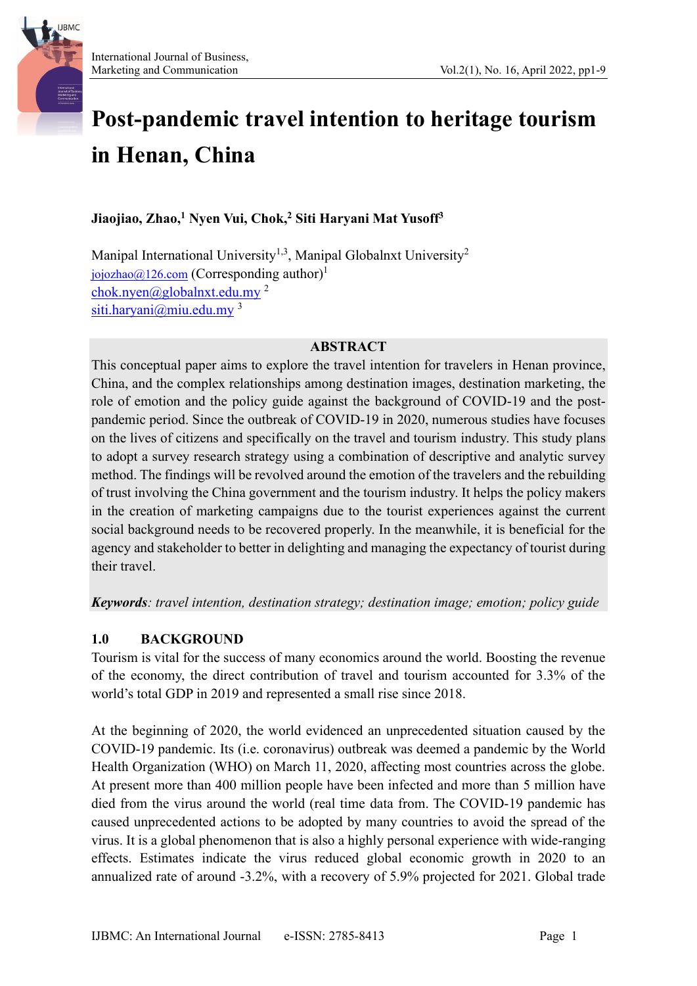

# **Post-pandemic travel intention to heritage tourism in Henan, China**

# **Jiaojiao, Zhao, <sup>1</sup> Nyen Vui, Chok, <sup>2</sup> Siti Haryani Mat Yusoff<sup>3</sup>**

Manipal International University<sup>1,3</sup>, Manipal Globalnxt University<sup>2</sup> [jojozhao@126.com](mailto:jojozhao@126.com) (Corresponding author)<sup>1</sup> [chok.nyen@globalnxt.edu.my](mailto:chok.nyen@globalnxt.edu.my) <sup>2</sup> [siti.haryani@miu.edu.my](mailto:siti.haryani@miu.edu.my)<sup>3</sup>

#### **ABSTRACT**

This conceptual paper aims to explore the travel intention for travelers in Henan province, China, and the complex relationships among destination images, destination marketing, the role of emotion and the policy guide against the background of COVID-19 and the postpandemic period. Since the outbreak of COVID-19 in 2020, numerous studies have focuses on the lives of citizens and specifically on the travel and tourism industry. This study plans to adopt a survey research strategy using a combination of descriptive and analytic survey method. The findings will be revolved around the emotion of the travelers and the rebuilding of trust involving the China government and the tourism industry. It helps the policy makers in the creation of marketing campaigns due to the tourist experiences against the current social background needs to be recovered properly. In the meanwhile, it is beneficial for the agency and stakeholder to better in delighting and managing the expectancy of tourist during their travel.

*Keywords: travel intention, destination strategy; destination image; emotion; policy guide*

## **1.0 BACKGROUND**

Tourism is vital for the success of many economics around the world. Boosting the revenue of the economy, the direct contribution of travel and tourism accounted for 3.3% of the world's total GDP in 2019 and represented a small rise since 2018.

At the beginning of 2020, the world evidenced an unprecedented situation caused by the COVID-19 pandemic. Its (i.e. coronavirus) outbreak was deemed a pandemic by the World Health Organization (WHO) on March 11, 2020, affecting most countries across the globe. At present more than 400 million people have been infected and more than 5 million have died from the virus around the world (real time data from. The COVID-19 pandemic has caused unprecedented actions to be adopted by many countries to avoid the spread of the virus. It is a global phenomenon that is also a highly personal experience with wide-ranging effects. Estimates indicate the virus reduced global economic growth in 2020 to an annualized rate of around -3.2%, with a recovery of 5.9% projected for 2021. Global trade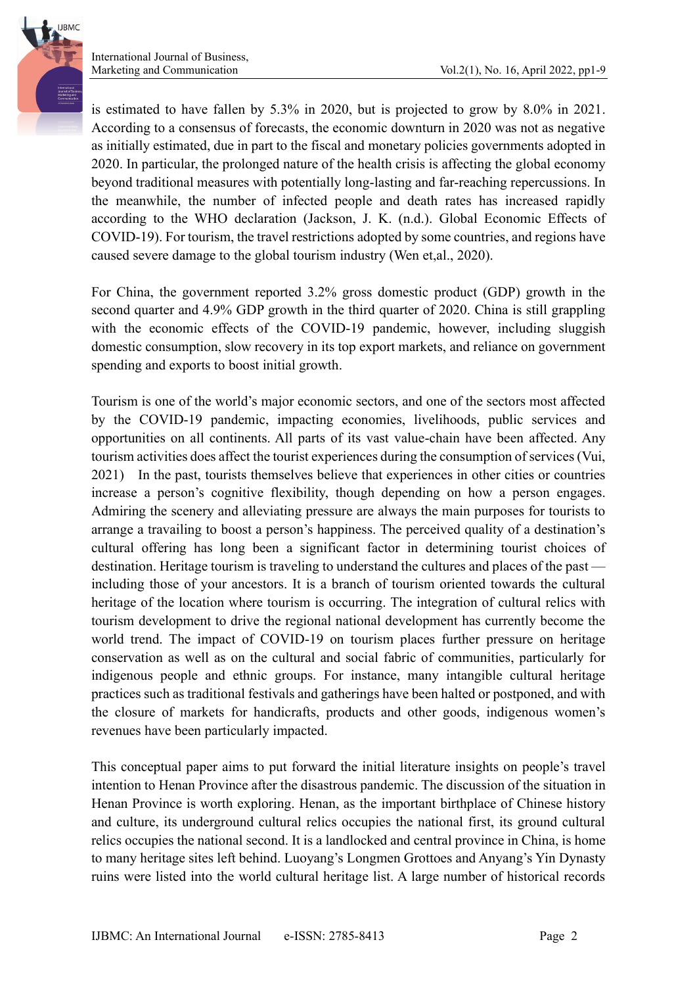is estimated to have fallen by 5.3% in 2020, but is projected to grow by 8.0% in 2021. According to a consensus of forecasts, the economic downturn in 2020 was not as negative as initially estimated, due in part to the fiscal and monetary policies governments adopted in 2020. In particular, the prolonged nature of the health crisis is affecting the global economy beyond traditional measures with potentially long-lasting and far-reaching repercussions. In the meanwhile, the number of infected people and death rates has increased rapidly according to the WHO declaration (Jackson, J. K. (n.d.). Global Economic Effects of COVID-19). For tourism, the travel restrictions adopted by some countries, and regions have caused severe damage to the global tourism industry (Wen et,al., 2020).

For China, the government reported 3.2% gross domestic product (GDP) growth in the second quarter and 4.9% GDP growth in the third quarter of 2020. China is still grappling with the economic effects of the COVID-19 pandemic, however, including sluggish domestic consumption, slow recovery in its top export markets, and reliance on government spending and exports to boost initial growth.

Tourism is one of the world's major economic sectors, and one of the sectors most affected by the COVID-19 pandemic, impacting economies, livelihoods, public services and opportunities on all continents. All parts of its vast value-chain have been affected. Any tourism activities does affect the tourist experiences during the consumption of services (Vui, 2021) In the past, tourists themselves believe that experiences in other cities or countries increase a person's cognitive flexibility, though depending on how a person engages. Admiring the scenery and alleviating pressure are always the main purposes for tourists to arrange a travailing to boost a person's happiness. The perceived quality of a destination's cultural offering has long been a significant factor in determining tourist choices of destination. Heritage tourism is traveling to understand the cultures and places of the past including those of your ancestors. It is a branch of tourism oriented towards the cultural heritage of the location where tourism is occurring. The integration of cultural relics with tourism development to drive the regional national development has currently become the world trend. The impact of COVID-19 on tourism places further pressure on heritage conservation as well as on the cultural and social fabric of communities, particularly for indigenous people and ethnic groups. For instance, many intangible cultural heritage practices such as traditional festivals and gatherings have been halted or postponed, and with the closure of markets for handicrafts, products and other goods, indigenous women's revenues have been particularly impacted.

This conceptual paper aims to put forward the initial literature insights on people's travel intention to Henan Province after the disastrous pandemic. The discussion of the situation in Henan Province is worth exploring. Henan, as the important birthplace of Chinese history and culture, its underground cultural relics occupies the national first, its ground cultural relics occupies the national second. It is a landlocked and central province in China, is home to many heritage sites left behind. Luoyang's Longmen Grottoes and Anyang's Yin Dynasty ruins were listed into the world cultural heritage list. A large number of historical records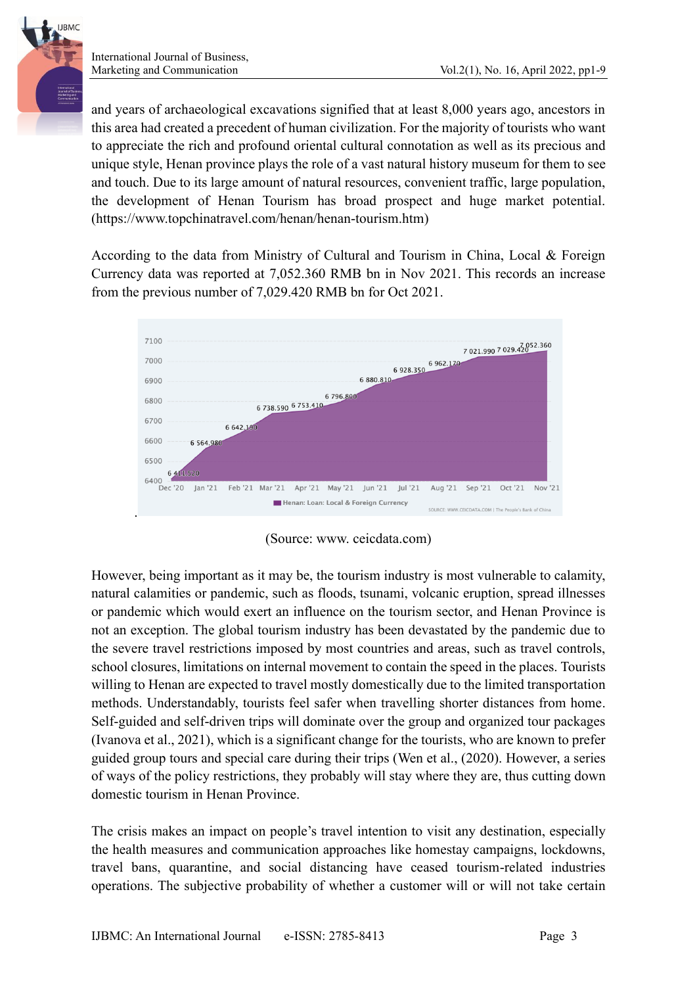International Journal of Business,

**LIBMC** 

and years of archaeological excavations signified that at least 8,000 years ago, ancestors in this area had created a precedent of human civilization. For the majority of tourists who want to appreciate the rich and profound oriental cultural connotation as well as its precious and unique style, Henan province plays the role of a vast natural history museum for them to see and touch. Due to its large amount of natural resources, convenient traffic, large population, the development of Henan Tourism has broad prospect and huge market potential. (https://www.topchinatravel.com/henan/henan-tourism.htm)

According to the data from Ministry of Cultural and Tourism in China, Local & Foreign Currency data was reported at 7,052.360 RMB bn in Nov 2021. This records an increase from the previous number of 7,029.420 RMB bn for Oct 2021.



(Source: www. ceicdata.com)

However, being important as it may be, the tourism industry is most vulnerable to calamity, natural calamities or pandemic, such as floods, tsunami, volcanic eruption, spread illnesses or pandemic which would exert an influence on the tourism sector, and Henan Province is not an exception. The global tourism industry has been devastated by the pandemic due to the severe travel restrictions imposed by most countries and areas, such as travel controls, school closures, limitations on internal movement to contain the speed in the places. Tourists willing to Henan are expected to travel mostly domestically due to the limited transportation methods. Understandably, tourists feel safer when travelling shorter distances from home. Self-guided and self-driven trips will dominate over the group and organized tour packages (Ivanova et al., 2021), which is a significant change for the tourists, who are known to prefer guided group tours and special care during their trips (Wen et al., (2020). However, a series of ways of the policy restrictions, they probably will stay where they are, thus cutting down domestic tourism in Henan Province.

The crisis makes an impact on people's travel intention to visit any destination, especially the health measures and communication approaches like homestay campaigns, lockdowns, travel bans, quarantine, and social distancing have ceased tourism-related industries operations. The subjective probability of whether a customer will or will not take certain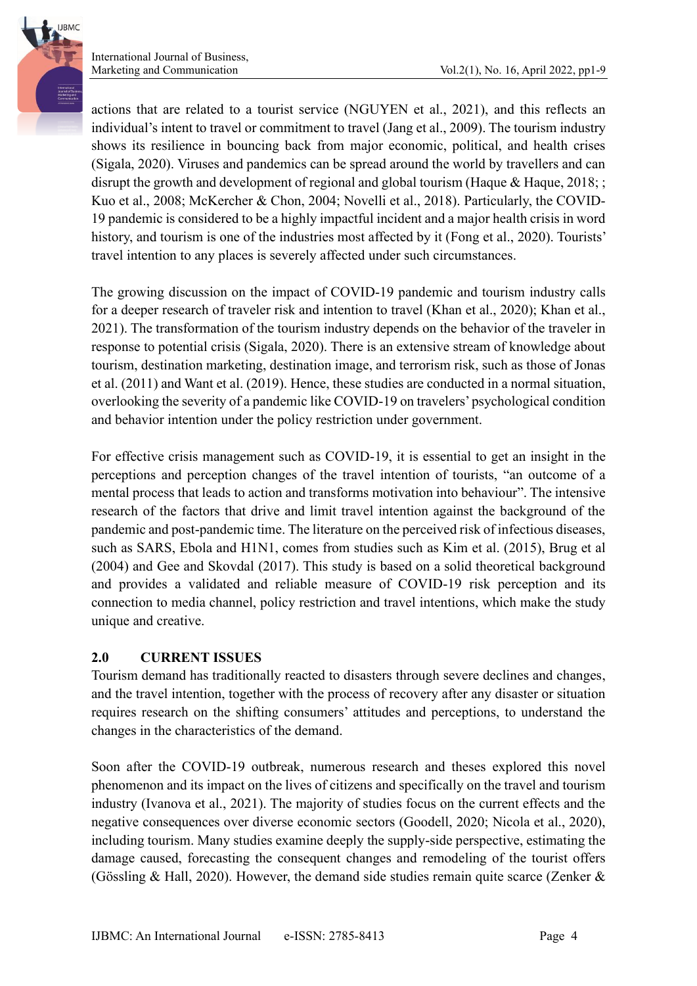actions that are related to a tourist service (NGUYEN et al., 2021), and this reflects an individual's intent to travel or commitment to travel (Jang et al., 2009). The tourism industry shows its resilience in bouncing back from major economic, political, and health crises (Sigala, 2020). Viruses and pandemics can be spread around the world by travellers and can disrupt the growth and development of regional and global tourism (Haque & Haque, 2018; ; Kuo et al., 2008; McKercher & Chon, 2004; Novelli et al., 2018). Particularly, the COVID-19 pandemic is considered to be a highly impactful incident and a major health crisis in word history, and tourism is one of the industries most affected by it (Fong et al., 2020). Tourists' travel intention to any places is severely affected under such circumstances.

The growing discussion on the impact of COVID-19 pandemic and tourism industry calls for a deeper research of traveler risk and intention to travel (Khan et al., 2020); Khan et al., 2021). The transformation of the tourism industry depends on the behavior of the traveler in response to potential crisis (Sigala, 2020). There is an extensive stream of knowledge about tourism, destination marketing, destination image, and terrorism risk, such as those of Jonas et al. (2011) and Want et al. (2019). Hence, these studies are conducted in a normal situation, overlooking the severity of a pandemic like COVID-19 on travelers' psychological condition and behavior intention under the policy restriction under government.

For effective crisis management such as COVID-19, it is essential to get an insight in the perceptions and perception changes of the travel intention of tourists, "an outcome of a mental process that leads to action and transforms motivation into behaviour". The intensive research of the factors that drive and limit travel intention against the background of the pandemic and post-pandemic time. The literature on the perceived risk of infectious diseases, such as SARS, Ebola and H1N1, comes from studies such as Kim et al. (2015), Brug et al (2004) and Gee and Skovdal (2017). This study is based on a solid theoretical background and provides a validated and reliable measure of COVID-19 risk perception and its connection to media channel, policy restriction and travel intentions, which make the study unique and creative.

## **2.0 CURRENT ISSUES**

Tourism demand has traditionally reacted to disasters through severe declines and changes, and the travel intention, together with the process of recovery after any disaster or situation requires research on the shifting consumers' attitudes and perceptions, to understand the changes in the characteristics of the demand.

Soon after the COVID-19 outbreak, numerous research and theses explored this novel phenomenon and its impact on the lives of citizens and specifically on the travel and tourism industry (Ivanova et al., 2021). The majority of studies focus on the current effects and the negative consequences over diverse economic sectors (Goodell, 2020; Nicola et al., 2020), including tourism. Many studies examine deeply the supply-side perspective, estimating the damage caused, forecasting the consequent changes and remodeling of the tourist offers (Gössling & Hall, 2020). However, the demand side studies remain quite scarce (Zenker &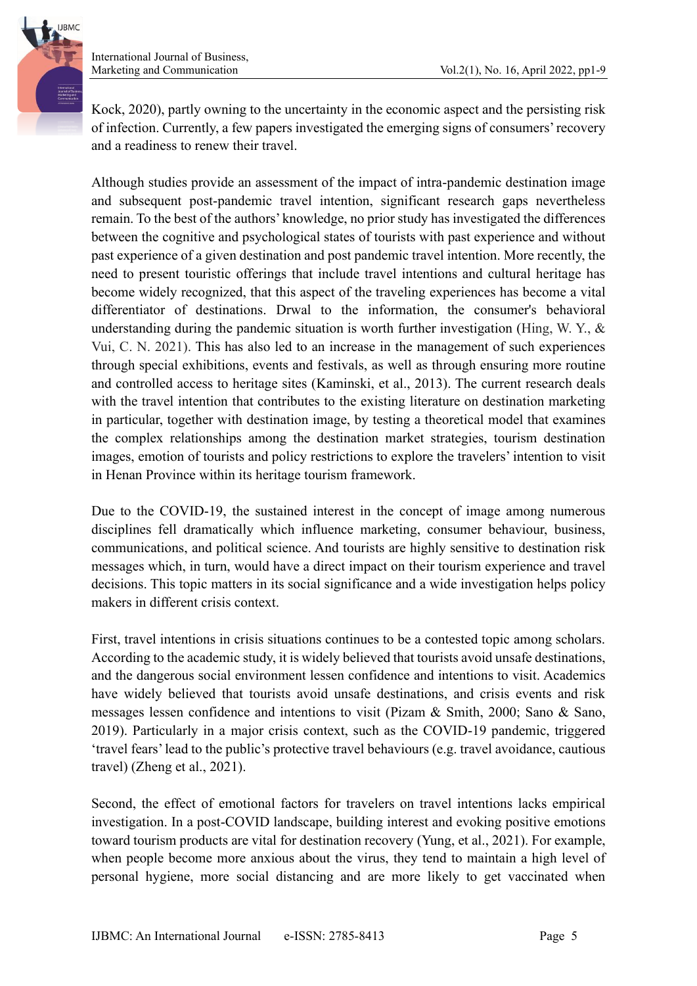International Journal of Business,



Kock, 2020), partly owning to the uncertainty in the economic aspect and the persisting risk of infection. Currently, a few papers investigated the emerging signs of consumers' recovery and a readiness to renew their travel.

Although studies provide an assessment of the impact of intra-pandemic destination image and subsequent post-pandemic travel intention, significant research gaps nevertheless remain. To the best of the authors' knowledge, no prior study has investigated the differences between the cognitive and psychological states of tourists with past experience and without past experience of a given destination and post pandemic travel intention. More recently, the need to present touristic offerings that include travel intentions and cultural heritage has become widely recognized, that this aspect of the traveling experiences has become a vital differentiator of destinations. Drwal to the information, the consumer's behavioral understanding during the pandemic situation is worth further investigation (Hing, W. Y.,  $\&$ Vui, C. N. 2021). This has also led to an increase in the management of such experiences through special exhibitions, events and festivals, as well as through ensuring more routine and controlled access to heritage sites (Kaminski, et al., 2013). The current research deals with the travel intention that contributes to the existing literature on destination marketing in particular, together with destination image, by testing a theoretical model that examines the complex relationships among the destination market strategies, tourism destination images, emotion of tourists and policy restrictions to explore the travelers' intention to visit in Henan Province within its heritage tourism framework.

Due to the COVID-19, the sustained interest in the concept of image among numerous disciplines fell dramatically which influence marketing, consumer behaviour, business, communications, and political science. And tourists are highly sensitive to destination risk messages which, in turn, would have a direct impact on their tourism experience and travel decisions. This topic matters in its social significance and a wide investigation helps policy makers in different crisis context.

First, travel intentions in crisis situations continues to be a contested topic among scholars. According to the academic study, it is widely believed that tourists avoid unsafe destinations, and the dangerous social environment lessen confidence and intentions to visit. Academics have widely believed that tourists avoid unsafe destinations, and crisis events and risk messages lessen confidence and intentions to visit (Pizam & Smith, 2000; Sano & Sano, 2019). Particularly in a major crisis context, such as the COVID-19 pandemic, triggered 'travel fears' lead to the public's protective travel behaviours (e.g. travel avoidance, cautious travel) (Zheng et al., 2021).

Second, the effect of emotional factors for travelers on travel intentions lacks empirical investigation. In a post-COVID landscape, building interest and evoking positive emotions toward tourism products are vital for destination recovery (Yung, et al., 2021). For example, when people become more anxious about the virus, they tend to maintain a high level of personal hygiene, more social distancing and are more likely to get vaccinated when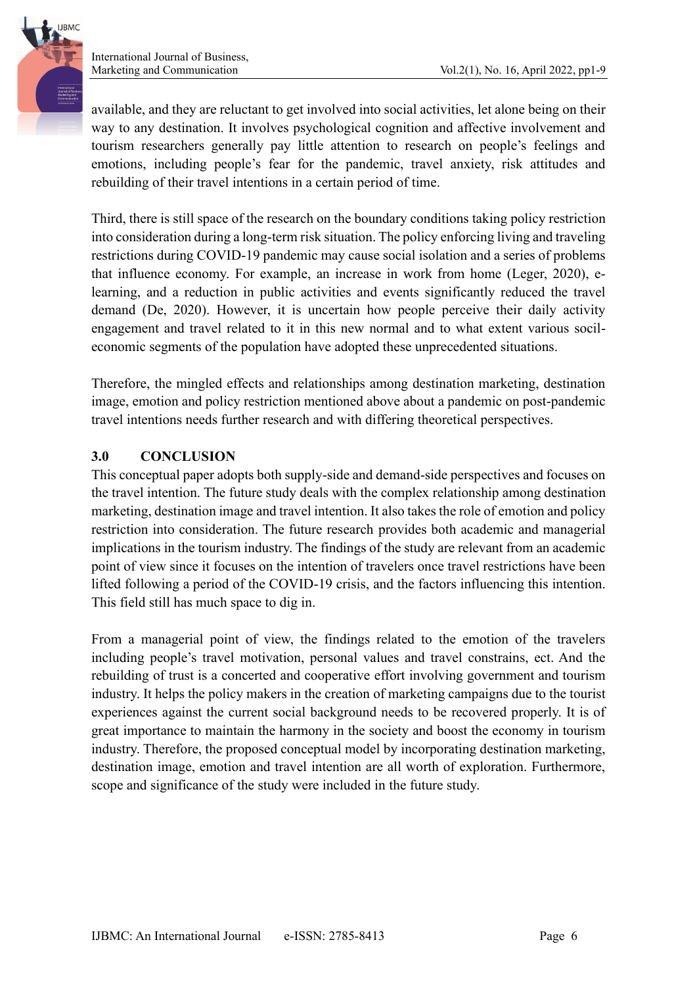available, and they are reluctant to get involved into social activities, let alone being on their way to any destination. It involves psychological cognition and affective involvement and tourism researchers generally pay little attention to research on people's feelings and emotions, including people's fear for the pandemic, travel anxiety, risk attitudes and rebuilding of their travel intentions in a certain period of time.

Third, there is still space of the research on the boundary conditions taking policy restriction into consideration during a long-term risk situation. The policy enforcing living and traveling restrictions during COVID-19 pandemic may cause social isolation and a series of problems that influence economy. For example, an increase in work from home (Leger, 2020), elearning, and a reduction in public activities and events significantly reduced the travel demand (De, 2020). However, it is uncertain how people perceive their daily activity engagement and travel related to it in this new normal and to what extent various socileconomic segments of the population have adopted these unprecedented situations.

Therefore, the mingled effects and relationships among destination marketing, destination image, emotion and policy restriction mentioned above about a pandemic on post-pandemic travel intentions needs further research and with differing theoretical perspectives.

## **3.0 CONCLUSION**

This conceptual paper adopts both supply-side and demand-side perspectives and focuses on the travel intention. The future study deals with the complex relationship among destination marketing, destination image and travel intention. It also takes the role of emotion and policy restriction into consideration. The future research provides both academic and managerial implications in the tourism industry. The findings of the study are relevant from an academic point of view since it focuses on the intention of travelers once travel restrictions have been lifted following a period of the COVID-19 crisis, and the factors influencing this intention. This field still has much space to dig in.

From a managerial point of view, the findings related to the emotion of the travelers including people's travel motivation, personal values and travel constrains, ect. And the rebuilding of trust is a concerted and cooperative effort involving government and tourism industry. It helps the policy makers in the creation of marketing campaigns due to the tourist experiences against the current social background needs to be recovered properly. It is of great importance to maintain the harmony in the society and boost the economy in tourism industry. Therefore, the proposed conceptual model by incorporating destination marketing, destination image, emotion and travel intention are all worth of exploration. Furthermore, scope and significance of the study were included in the future study.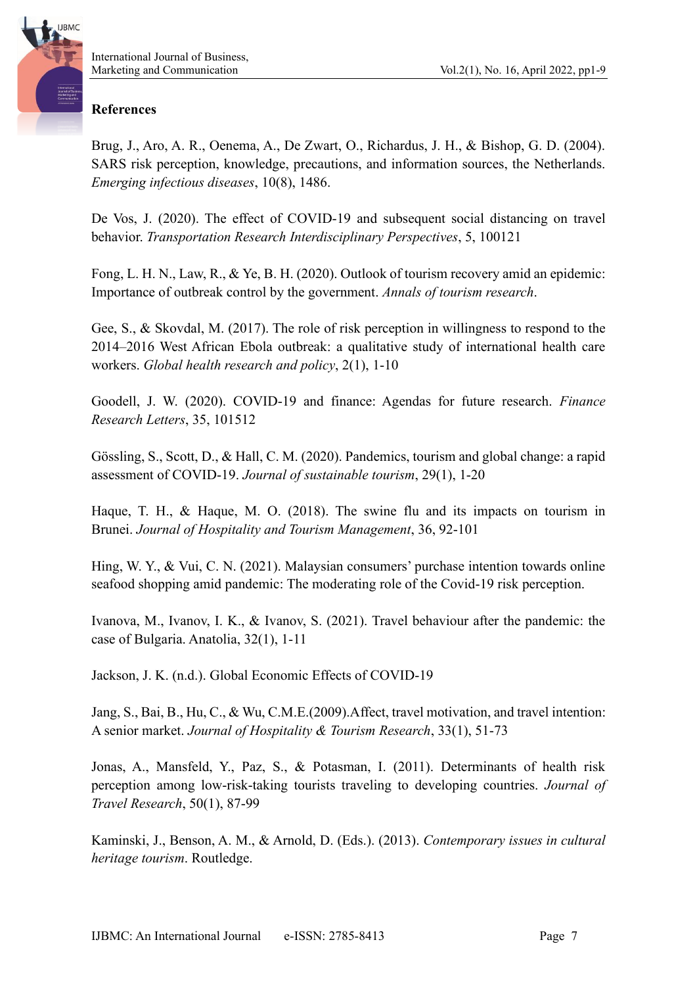#### **References**

Brug, J., Aro, A. R., Oenema, A., De Zwart, O., Richardus, J. H., & Bishop, G. D. (2004). SARS risk perception, knowledge, precautions, and information sources, the Netherlands. *Emerging infectious diseases*, 10(8), 1486.

De Vos, J. (2020). The effect of COVID-19 and subsequent social distancing on travel behavior. *Transportation Research Interdisciplinary Perspectives*, 5, 100121

Fong, L. H. N., Law, R., & Ye, B. H. (2020). Outlook of tourism recovery amid an epidemic: Importance of outbreak control by the government. *Annals of tourism research*.

Gee, S., & Skovdal, M. (2017). The role of risk perception in willingness to respond to the 2014–2016 West African Ebola outbreak: a qualitative study of international health care workers. *Global health research and policy*, 2(1), 1-10

Goodell, J. W. (2020). COVID-19 and finance: Agendas for future research. *Finance Research Letters*, 35, 101512

Gössling, S., Scott, D., & Hall, C. M. (2020). Pandemics, tourism and global change: a rapid assessment of COVID-19. *Journal of sustainable tourism*, 29(1), 1-20

Haque, T. H., & Haque, M. O. (2018). The swine flu and its impacts on tourism in Brunei. *Journal of Hospitality and Tourism Management*, 36, 92-101

Hing, W. Y., & Vui, C. N. (2021). Malaysian consumers' purchase intention towards online seafood shopping amid pandemic: The moderating role of the Covid-19 risk perception.

Ivanova, M., Ivanov, I. K., & Ivanov, S. (2021). Travel behaviour after the pandemic: the case of Bulgaria. Anatolia, 32(1), 1-11

Jackson, J. K. (n.d.). Global Economic Effects of COVID-19

Jang, S., Bai, B., Hu, C., & Wu, C.M.E.(2009).Affect, travel motivation, and travel intention: A senior market. *Journal of Hospitality & Tourism Research*, 33(1), 51-73

Jonas, A., Mansfeld, Y., Paz, S., & Potasman, I. (2011). Determinants of health risk perception among low-risk-taking tourists traveling to developing countries. *Journal of Travel Research*, 50(1), 87-99

Kaminski, J., Benson, A. M., & Arnold, D. (Eds.). (2013). *Contemporary issues in cultural heritage tourism*. Routledge.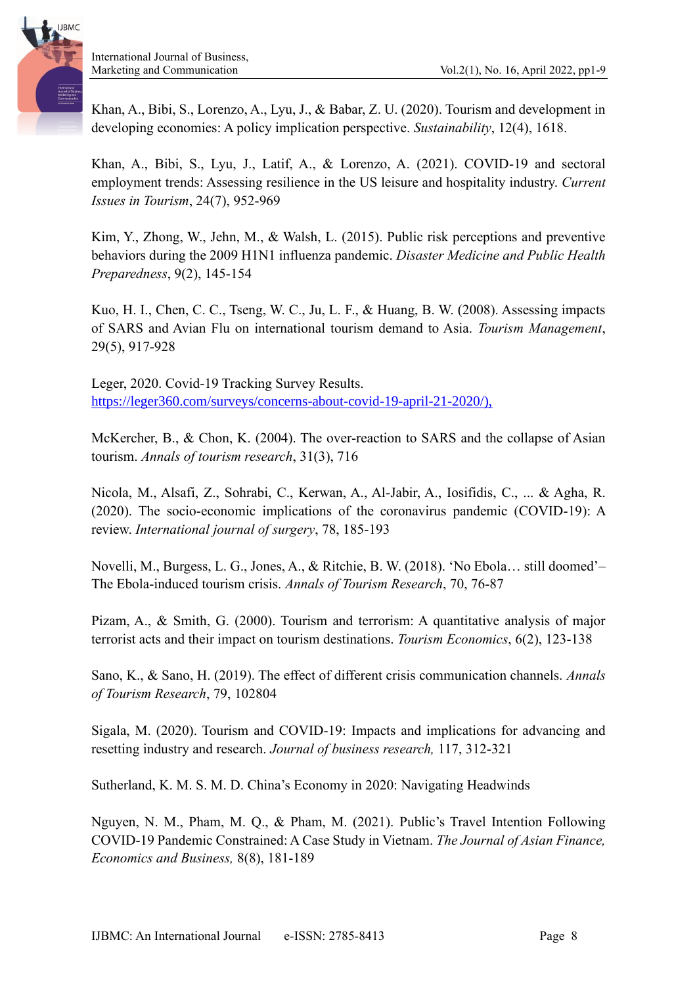Khan, A., Bibi, S., Lorenzo, A., Lyu, J., & Babar, Z. U. (2020). Tourism and development in developing economies: A policy implication perspective. *Sustainability*, 12(4), 1618.

Khan, A., Bibi, S., Lyu, J., Latif, A., & Lorenzo, A. (2021). COVID-19 and sectoral employment trends: Assessing resilience in the US leisure and hospitality industry. *Current Issues in Tourism*, 24(7), 952-969

Kim, Y., Zhong, W., Jehn, M., & Walsh, L. (2015). Public risk perceptions and preventive behaviors during the 2009 H1N1 influenza pandemic. *Disaster Medicine and Public Health Preparedness*, 9(2), 145-154

Kuo, H. I., Chen, C. C., Tseng, W. C., Ju, L. F., & Huang, B. W. (2008). Assessing impacts of SARS and Avian Flu on international tourism demand to Asia. *Tourism Management*, 29(5), 917-928

Leger, 2020. Covid-19 Tracking Survey Results. [https://leger360.com/surveys/concerns-about-covid-19-april-21-2020/\),](https://leger360.com/surveys/concerns-about-covid-19-april-21-2020/),)

McKercher, B., & Chon, K. (2004). The over-reaction to SARS and the collapse of Asian tourism. *Annals of tourism research*, 31(3), 716

Nicola, M., Alsafi, Z., Sohrabi, C., Kerwan, A., Al-Jabir, A., Iosifidis, C., ... & Agha, R. (2020). The socio-economic implications of the coronavirus pandemic (COVID-19): A review. *International journal of surgery*, 78, 185-193

Novelli, M., Burgess, L. G., Jones, A., & Ritchie, B. W. (2018). 'No Ebola… still doomed'– The Ebola-induced tourism crisis. *Annals of Tourism Research*, 70, 76-87

Pizam, A., & Smith, G. (2000). Tourism and terrorism: A quantitative analysis of major terrorist acts and their impact on tourism destinations. *Tourism Economics*, 6(2), 123-138

Sano, K., & Sano, H. (2019). The effect of different crisis communication channels. *Annals of Tourism Research*, 79, 102804

Sigala, M. (2020). Tourism and COVID-19: Impacts and implications for advancing and resetting industry and research. *Journal of business research,* 117, 312-321

Sutherland, K. M. S. M. D. China's Economy in 2020: Navigating Headwinds

Nguyen, N. M., Pham, M. Q., & Pham, M. (2021). Public's Travel Intention Following COVID-19 Pandemic Constrained: A Case Study in Vietnam. *The Journal of Asian Finance, Economics and Business,* 8(8), 181-189